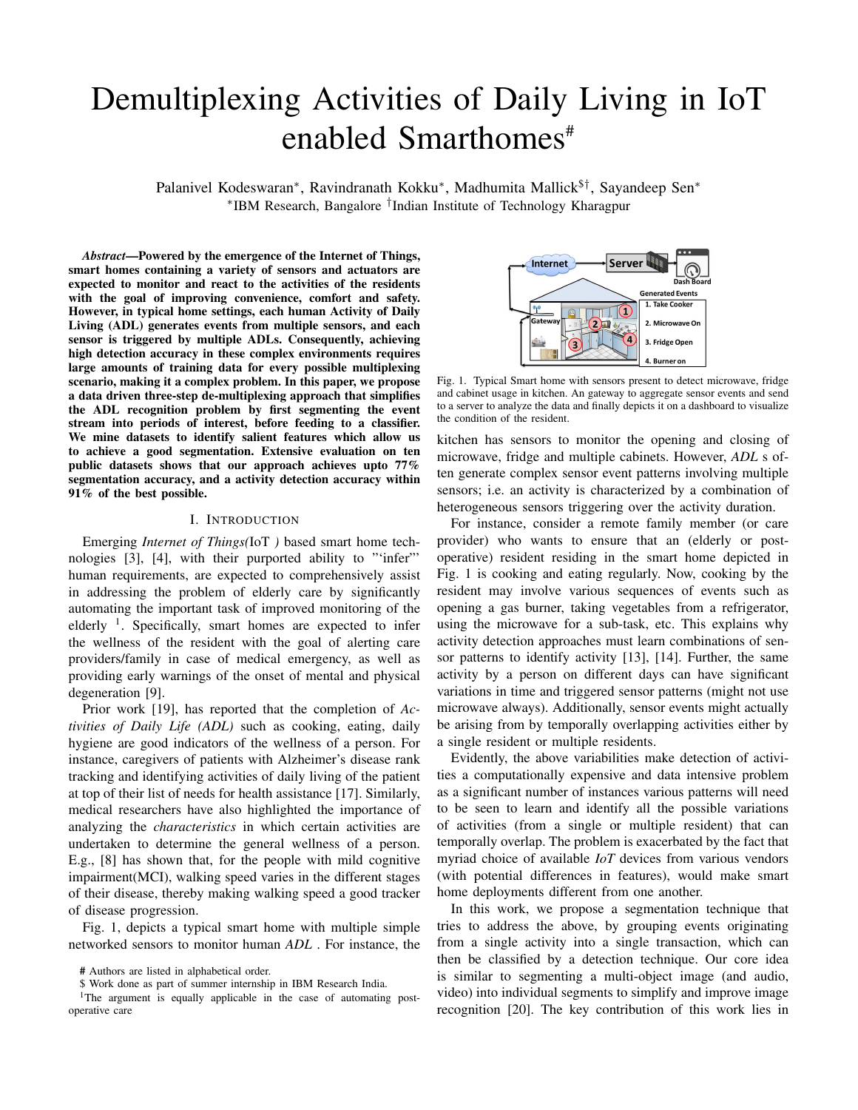# Demultiplexing Activities of Daily Living in IoT enabled Smarthomes<sup>#</sup>

Palanivel Kodeswaran∗, Ravindranath Kokku∗, Madhumita Mallick\$†, Sayandeep Sen<sup>∗</sup> ∗IBM Research, Bangalore †Indian Institute of Technology Kharagpur

*Abstract***—Powered by the emergence of the Internet of Things, smart homes containing a variety of sensors and actuators are expected to monitor and react to the activities of the residents with the goal of improving convenience, comfort and safety. However, in typical home settings, each human Activity of Daily Living (ADL) generates events from multiple sensors, and each sensor is triggered by multiple ADLs. Consequently, achieving high detection accuracy in these complex environments requires large amounts of training data for every possible multiplexing scenario, making it a complex problem. In this paper, we propose a data driven three-step de-multiplexing approach that simplifies the ADL recognition problem by first segmenting the event stream into periods of interest, before feeding to a classifier. We mine datasets to identify salient features which allow us to achieve a good segmentation. Extensive evaluation on ten public datasets shows that our approach achieves upto 77% segmentation accuracy, and a activity detection accuracy within 91% of the best possible.**

## I. INTRODUCTION

Emerging *Internet of Things(*IoT *)* based smart home technologies [3], [4], with their purported ability to "'infer"' human requirements, are expected to comprehensively assist in addressing the problem of elderly care by significantly automating the important task of improved monitoring of the elderly  $\frac{1}{1}$ . Specifically, smart homes are expected to infer the wellness of the resident with the goal of alerting care providers/family in case of medical emergency, as well as providing early warnings of the onset of mental and physical degeneration [9].

Prior work [19], has reported that the completion of *Activities of Daily Life (ADL)* such as cooking, eating, daily hygiene are good indicators of the wellness of a person. For instance, caregivers of patients with Alzheimer's disease rank tracking and identifying activities of daily living of the patient at top of their list of needs for health assistance [17]. Similarly, medical researchers have also highlighted the importance of analyzing the *characteristics* in which certain activities are undertaken to determine the general wellness of a person. E.g., [8] has shown that, for the people with mild cognitive impairment(MCI), walking speed varies in the different stages of their disease, thereby making walking speed a good tracker of disease progression.

Fig. 1, depicts a typical smart home with multiple simple networked sensors to monitor human *ADL* . For instance, the



Fig. 1. Typical Smart home with sensors present to detect microwave, fridge and cabinet usage in kitchen. An gateway to aggregate sensor events and send to a server to analyze the data and finally depicts it on a dashboard to visualize the condition of the resident.

kitchen has sensors to monitor the opening and closing of microwave, fridge and multiple cabinets. However, *ADL* s often generate complex sensor event patterns involving multiple sensors; i.e. an activity is characterized by a combination of heterogeneous sensors triggering over the activity duration.

For instance, consider a remote family member (or care provider) who wants to ensure that an (elderly or postoperative) resident residing in the smart home depicted in Fig. 1 is cooking and eating regularly. Now, cooking by the resident may involve various sequences of events such as opening a gas burner, taking vegetables from a refrigerator, using the microwave for a sub-task, etc. This explains why activity detection approaches must learn combinations of sensor patterns to identify activity [13], [14]. Further, the same activity by a person on different days can have significant variations in time and triggered sensor patterns (might not use microwave always). Additionally, sensor events might actually be arising from by temporally overlapping activities either by a single resident or multiple residents.

Evidently, the above variabilities make detection of activities a computationally expensive and data intensive problem as a significant number of instances various patterns will need to be seen to learn and identify all the possible variations of activities (from a single or multiple resident) that can temporally overlap. The problem is exacerbated by the fact that myriad choice of available *IoT* devices from various vendors (with potential differences in features), would make smart home deployments different from one another.

In this work, we propose a segmentation technique that tries to address the above, by grouping events originating from a single activity into a single transaction, which can then be classified by a detection technique. Our core idea is similar to segmenting a multi-object image (and audio, video) into individual segments to simplify and improve image recognition [20]. The key contribution of this work lies in

**<sup>#</sup>** Authors are listed in alphabetical order.

<sup>\$</sup> Work done as part of summer internship in IBM Research India.

<sup>&</sup>lt;sup>1</sup>The argument is equally applicable in the case of automating postoperative care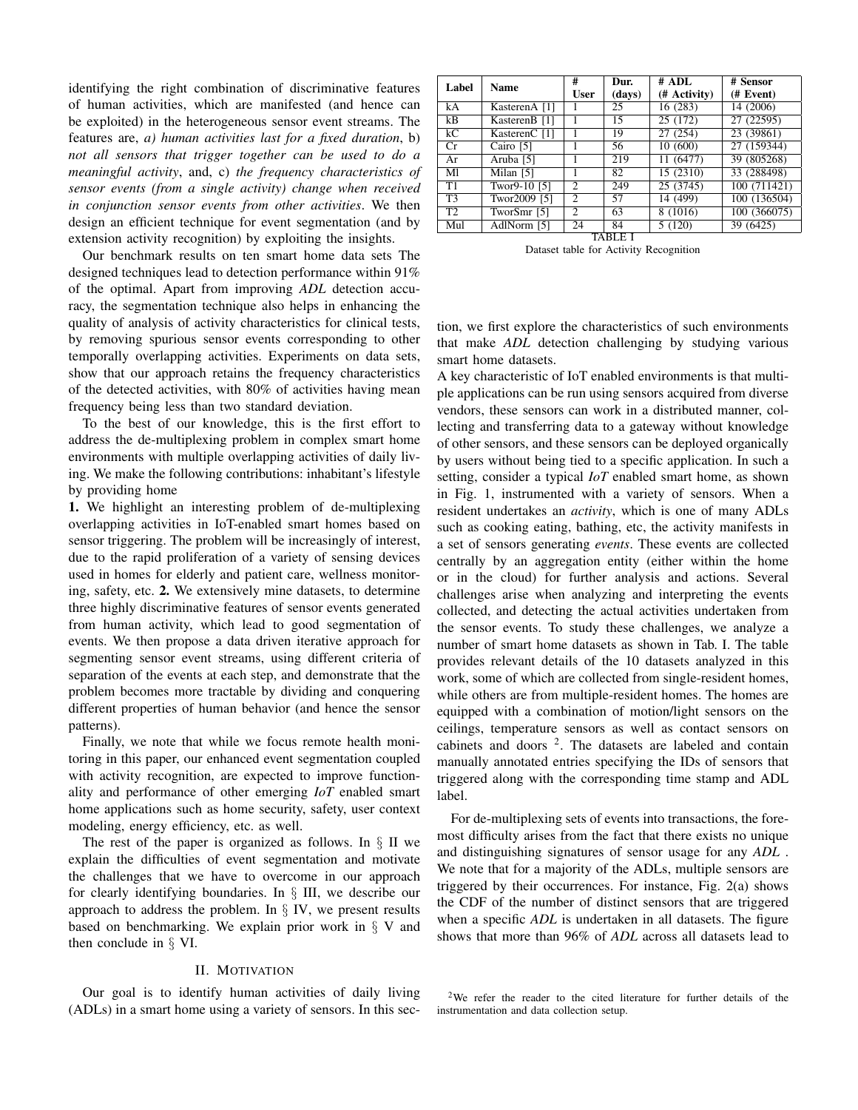identifying the right combination of discriminative features of human activities, which are manifested (and hence can be exploited) in the heterogeneous sensor event streams. The features are, *a) human activities last for a fixed duration*, b) *not all sensors that trigger together can be used to do a meaningful activity*, and, c) *the frequency characteristics of sensor events (from a single activity) change when received in conjunction sensor events from other activities*. We then design an efficient technique for event segmentation (and by extension activity recognition) by exploiting the insights.

Our benchmark results on ten smart home data sets The designed techniques lead to detection performance within 91% of the optimal. Apart from improving *ADL* detection accuracy, the segmentation technique also helps in enhancing the quality of analysis of activity characteristics for clinical tests, by removing spurious sensor events corresponding to other temporally overlapping activities. Experiments on data sets, show that our approach retains the frequency characteristics of the detected activities, with 80% of activities having mean frequency being less than two standard deviation.

To the best of our knowledge, this is the first effort to address the de-multiplexing problem in complex smart home environments with multiple overlapping activities of daily living. We make the following contributions: inhabitant's lifestyle by providing home

**1.** We highlight an interesting problem of de-multiplexing overlapping activities in IoT-enabled smart homes based on sensor triggering. The problem will be increasingly of interest, due to the rapid proliferation of a variety of sensing devices used in homes for elderly and patient care, wellness monitoring, safety, etc. **2.** We extensively mine datasets, to determine three highly discriminative features of sensor events generated from human activity, which lead to good segmentation of events. We then propose a data driven iterative approach for segmenting sensor event streams, using different criteria of separation of the events at each step, and demonstrate that the problem becomes more tractable by dividing and conquering different properties of human behavior (and hence the sensor patterns).

Finally, we note that while we focus remote health monitoring in this paper, our enhanced event segmentation coupled with activity recognition, are expected to improve functionality and performance of other emerging *IoT* enabled smart home applications such as home security, safety, user context modeling, energy efficiency, etc. as well.

The rest of the paper is organized as follows. In § II we explain the difficulties of event segmentation and motivate the challenges that we have to overcome in our approach for clearly identifying boundaries. In § III, we describe our approach to address the problem. In  $\S$  IV, we present results based on benchmarking. We explain prior work in  $\S$  V and then conclude in § VI.

## II. MOTIVATION

Our goal is to identify human activities of daily living (ADLs) in a smart home using a variety of sensors. In this sec-

| Label          | <b>Name</b>   | #              | Dur.   | # ADL        | # Sensor     |  |  |
|----------------|---------------|----------------|--------|--------------|--------------|--|--|
|                |               | <b>User</b>    | (days) | (# Activity) | (# Event)    |  |  |
| kA             | KasterenA [1] |                | 25     | 16 (283)     | 14 (2006)    |  |  |
| kB             | KasterenB [1] |                | 15     | 25 (172)     | 27 (22595)   |  |  |
| kC             | KasterenC [1] |                | 19     | 27 (254)     | 23 (39861)   |  |  |
| Cr             | Cairo [5]     |                | 56     | 10 (600)     | 27 (159344)  |  |  |
| Ar             | Aruba [5]     |                | 219    | 11 (6477)    | 39 (805268)  |  |  |
| Ml             | Milan [5]     |                | 82     | 15 (2310)    | 33 (288498)  |  |  |
| T1             | Twor9-10 [5]  | $\overline{c}$ | 249    | 25 (3745)    | 100 (711421) |  |  |
| T <sub>3</sub> | Twor2009 [5]  | $\mathcal{L}$  | 57     | 14 (499)     | 100 (136504) |  |  |
| T2             | TworSmr $[5]$ | $\overline{c}$ | 63     | 8 (1016)     | 100 (366075) |  |  |
| Mul            | AdlNorm [5]   | 24             | 84     | 5(120)       | 39 (6425)    |  |  |
| TABLE          |               |                |        |              |              |  |  |

Dataset table for Activity Recognition

tion, we first explore the characteristics of such environments that make *ADL* detection challenging by studying various smart home datasets.

A key characteristic of IoT enabled environments is that multiple applications can be run using sensors acquired from diverse vendors, these sensors can work in a distributed manner, collecting and transferring data to a gateway without knowledge of other sensors, and these sensors can be deployed organically by users without being tied to a specific application. In such a setting, consider a typical *IoT* enabled smart home, as shown in Fig. 1, instrumented with a variety of sensors. When a resident undertakes an *activity*, which is one of many ADLs such as cooking eating, bathing, etc, the activity manifests in a set of sensors generating *events*. These events are collected centrally by an aggregation entity (either within the home or in the cloud) for further analysis and actions. Several challenges arise when analyzing and interpreting the events collected, and detecting the actual activities undertaken from the sensor events. To study these challenges, we analyze a number of smart home datasets as shown in Tab. I. The table provides relevant details of the 10 datasets analyzed in this work, some of which are collected from single-resident homes, while others are from multiple-resident homes. The homes are equipped with a combination of motion/light sensors on the ceilings, temperature sensors as well as contact sensors on cabinets and doors 2. The datasets are labeled and contain manually annotated entries specifying the IDs of sensors that triggered along with the corresponding time stamp and ADL label.

For de-multiplexing sets of events into transactions, the foremost difficulty arises from the fact that there exists no unique and distinguishing signatures of sensor usage for any *ADL* . We note that for a majority of the ADLs, multiple sensors are triggered by their occurrences. For instance, Fig. 2(a) shows the CDF of the number of distinct sensors that are triggered when a specific *ADL* is undertaken in all datasets. The figure shows that more than 96% of *ADL* across all datasets lead to

<sup>&</sup>lt;sup>2</sup>We refer the reader to the cited literature for further details of the instrumentation and data collection setup.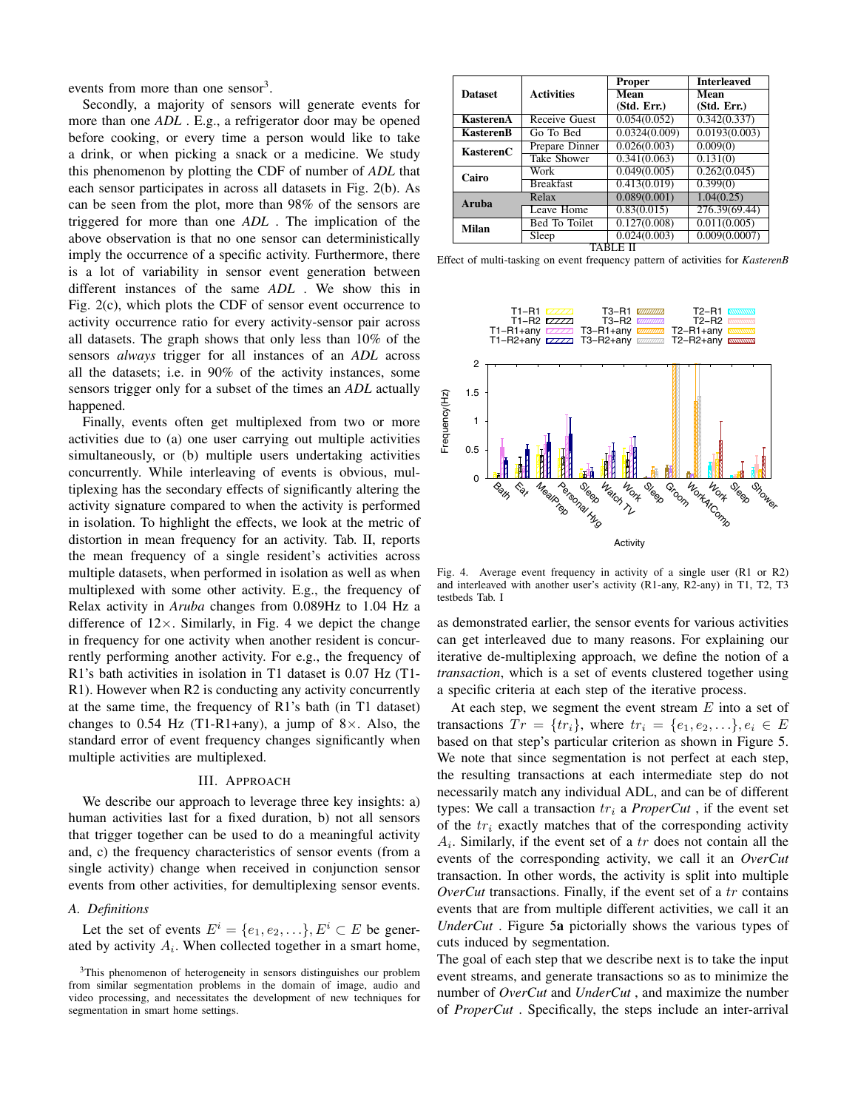events from more than one sensor<sup>3</sup>.

Secondly, a majority of sensors will generate events for more than one *ADL* . E.g., a refrigerator door may be opened before cooking, or every time a person would like to take a drink, or when picking a snack or a medicine. We study this phenomenon by plotting the CDF of number of *ADL* that each sensor participates in across all datasets in Fig. 2(b). As can be seen from the plot, more than 98% of the sensors are triggered for more than one *ADL* . The implication of the above observation is that no one sensor can deterministically imply the occurrence of a specific activity. Furthermore, there is a lot of variability in sensor event generation between different instances of the same *ADL* . We show this in Fig. 2(c), which plots the CDF of sensor event occurrence to activity occurrence ratio for every activity-sensor pair across all datasets. The graph shows that only less than 10% of the sensors *always* trigger for all instances of an *ADL* across all the datasets; i.e. in 90% of the activity instances, some sensors trigger only for a subset of the times an *ADL* actually happened.

Finally, events often get multiplexed from two or more activities due to (a) one user carrying out multiple activities simultaneously, or (b) multiple users undertaking activities concurrently. While interleaving of events is obvious, multiplexing has the secondary effects of significantly altering the activity signature compared to when the activity is performed in isolation. To highlight the effects, we look at the metric of distortion in mean frequency for an activity. Tab. II, reports the mean frequency of a single resident's activities across multiple datasets, when performed in isolation as well as when multiplexed with some other activity. E.g., the frequency of Relax activity in *Aruba* changes from 0.089Hz to 1.04 Hz a difference of  $12\times$ . Similarly, in Fig. 4 we depict the change in frequency for one activity when another resident is concurrently performing another activity. For e.g., the frequency of R1's bath activities in isolation in T1 dataset is 0.07 Hz (T1- R1). However when R2 is conducting any activity concurrently at the same time, the frequency of R1's bath (in T1 dataset) changes to 0.54 Hz (T1-R1+any), a jump of  $8\times$ . Also, the standard error of event frequency changes significantly when multiple activities are multiplexed.

## III. APPROACH

We describe our approach to leverage three key insights: a) human activities last for a fixed duration, b) not all sensors that trigger together can be used to do a meaningful activity and, c) the frequency characteristics of sensor events (from a single activity) change when received in conjunction sensor events from other activities, for demultiplexing sensor events.

## *A. Definitions*

Let the set of events  $E^i = \{e_1, e_2, \ldots\}$ ,  $E^i \subset E$  be generated by activity  $A_i$ . When collected together in a smart home,

|                  |                      | <b>Proper</b> | <b>Interleaved</b> |  |  |  |  |
|------------------|----------------------|---------------|--------------------|--|--|--|--|
| <b>Dataset</b>   | <b>Activities</b>    | Mean          | Mean               |  |  |  |  |
|                  |                      | (Std. Err.)   | (Std. Err.)        |  |  |  |  |
| <b>KasterenA</b> | Receive Guest        | 0.054(0.052)  | 0.342(0.337)       |  |  |  |  |
| KasterenB        | Go To Bed            | 0.0324(0.009) | 0.0193(0.003)      |  |  |  |  |
| <b>KasterenC</b> | Prepare Dinner       | 0.026(0.003)  | 0.009(0)           |  |  |  |  |
|                  | Take Shower          | 0.341(0.063)  | 0.131(0)           |  |  |  |  |
| Cairo            | Work                 | 0.049(0.005)  | 0.262(0.045)       |  |  |  |  |
|                  | <b>Breakfast</b>     | 0.413(0.019)  | 0.399(0)           |  |  |  |  |
| Aruba            | Relax                | 0.089(0.001)  | 1.04(0.25)         |  |  |  |  |
|                  | Leave Home           | 0.83(0.015)   | 276.39(69.44)      |  |  |  |  |
| Milan            | <b>Bed To Toilet</b> | 0.127(0.008)  | 0.011(0.005)       |  |  |  |  |
|                  | Sleep                | 0.024(0.003)  | 0.009(0.0007)      |  |  |  |  |
| TABLE II         |                      |               |                    |  |  |  |  |

Effect of multi-tasking on event frequency pattern of activities for *KasterenB*



Fig. 4. Average event frequency in activity of a single user (R1 or R2) and interleaved with another user's activity (R1-any, R2-any) in T1, T2, T3 testbeds Tab. I

as demonstrated earlier, the sensor events for various activities can get interleaved due to many reasons. For explaining our iterative de-multiplexing approach, we define the notion of a *transaction*, which is a set of events clustered together using a specific criteria at each step of the iterative process.

At each step, we segment the event stream  $E$  into a set of transactions  $Tr = \{tr_i\}$ , where  $tr_i = \{e_1, e_2, \ldots\}$ ,  $e_i \in E$ based on that step's particular criterion as shown in Figure 5. We note that since segmentation is not perfect at each step, the resulting transactions at each intermediate step do not necessarily match any individual ADL, and can be of different types: We call a transaction  $tr_i$  a  $ProperCut$ , if the event set of the  $tr_i$  exactly matches that of the corresponding activity  $A_i$ . Similarly, if the event set of a tr does not contain all the events of the corresponding activity, we call it an *OverCut* transaction. In other words, the activity is split into multiple  $OverCut$  transactions. Finally, if the event set of a  $tr$  contains events that are from multiple different activities, we call it an *UnderCut* . Figure 5**a** pictorially shows the various types of cuts induced by segmentation.

The goal of each step that we describe next is to take the input event streams, and generate transactions so as to minimize the number of *OverCut* and *UnderCut* , and maximize the number of *ProperCut* . Specifically, the steps include an inter-arrival

<sup>&</sup>lt;sup>3</sup>This phenomenon of heterogeneity in sensors distinguishes our problem from similar segmentation problems in the domain of image, audio and video processing, and necessitates the development of new techniques for segmentation in smart home settings.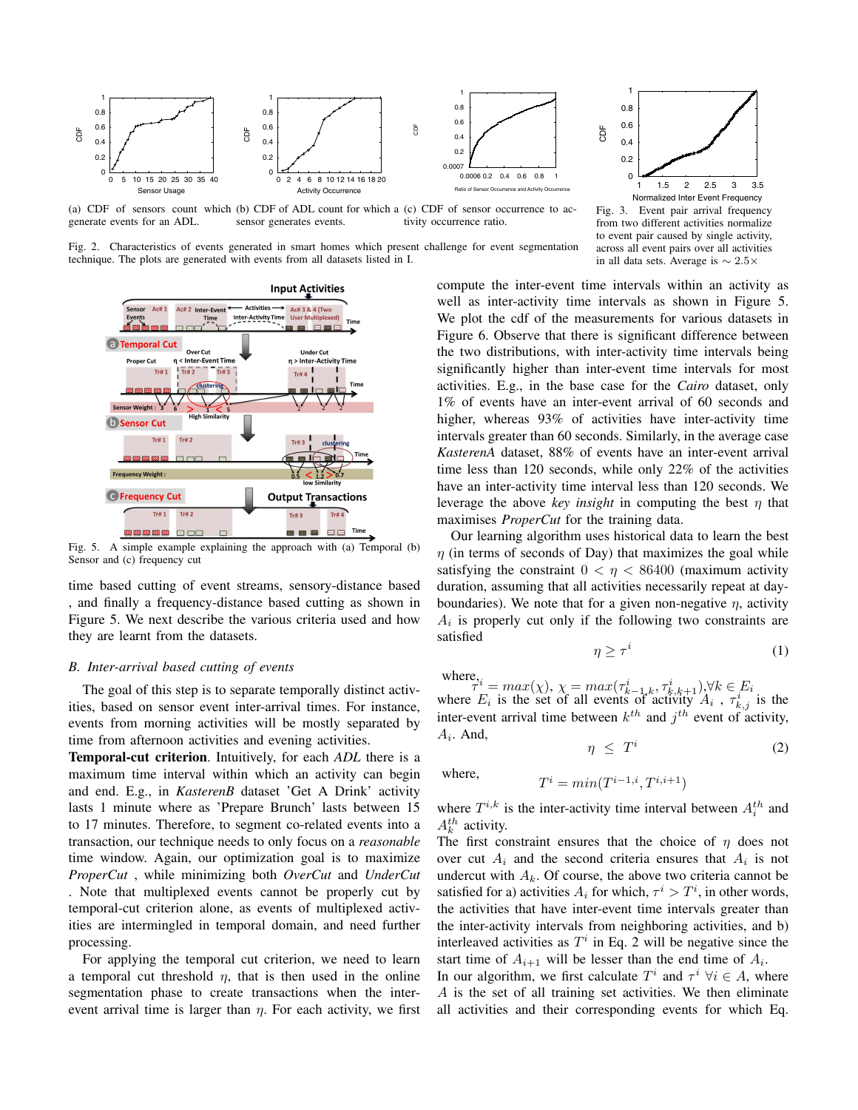

(a) CDF of sensors count which (b) CDF of ADL count for which a (c) CDF of sensor occurrence to acgenerate events for an ADL. sensor generates events. tivity occurrence ratio.

Fig. 2. Characteristics of events generated in smart homes which present challenge for event segmentation technique. The plots are generated with events from all datasets listed in I.



Fig. 5. A simple example explaining the approach with (a) Temporal (b) Sensor and (c) frequency cut

time based cutting of event streams, sensory-distance based , and finally a frequency-distance based cutting as shown in Figure 5. We next describe the various criteria used and how they are learnt from the datasets.

## *B. Inter-arrival based cutting of events*

The goal of this step is to separate temporally distinct activities, based on sensor event inter-arrival times. For instance, events from morning activities will be mostly separated by time from afternoon activities and evening activities.

**Temporal-cut criterion**. Intuitively, for each *ADL* there is a maximum time interval within which an activity can begin and end. E.g., in *KasterenB* dataset 'Get A Drink' activity lasts 1 minute where as 'Prepare Brunch' lasts between 15 to 17 minutes. Therefore, to segment co-related events into a transaction, our technique needs to only focus on a *reasonable* time window. Again, our optimization goal is to maximize *ProperCut* , while minimizing both *OverCut* and *UnderCut* . Note that multiplexed events cannot be properly cut by temporal-cut criterion alone, as events of multiplexed activities are intermingled in temporal domain, and need further processing.

For applying the temporal cut criterion, we need to learn a temporal cut threshold  $\eta$ , that is then used in the online segmentation phase to create transactions when the interevent arrival time is larger than  $\eta$ . For each activity, we first



Fig. 3. Event pair arrival frequency from two different activities normalize to event pair caused by single activity, across all event pairs over all activities in all data sets. Average is ∼ 2.5×

compute the inter-event time intervals within an activity as well as inter-activity time intervals as shown in Figure 5. We plot the cdf of the measurements for various datasets in Figure 6. Observe that there is significant difference between the two distributions, with inter-activity time intervals being significantly higher than inter-event time intervals for most activities. E.g., in the base case for the *Cairo* dataset, only 1% of events have an inter-event arrival of 60 seconds and higher, whereas 93% of activities have inter-activity time intervals greater than 60 seconds. Similarly, in the average case *KasterenA* dataset, 88% of events have an inter-event arrival time less than 120 seconds, while only 22% of the activities have an inter-activity time interval less than 120 seconds. We leverage the above *key insight* in computing the best  $\eta$  that maximises *ProperCut* for the training data.

Our learning algorithm uses historical data to learn the best  $\eta$  (in terms of seconds of Day) that maximizes the goal while satisfying the constraint  $0 < \eta < 86400$  (maximum activity duration, assuming that all activities necessarily repeat at dayboundaries). We note that for a given non-negative  $\eta$ , activity  $A_i$  is properly cut only if the following two constraints are satisfied

$$
\eta \ge \tau^i \tag{1}
$$

where,<br>  $\tau^i = max(\chi)$ ,  $\chi = max(\tau^i_{k-1,k}, \tau^i_{k,k+1}), \forall k \in E_i$ <br>
where  $F$  is the set of all avants of activity  $\Lambda$ where  $E_i$  is the set of all events of activity  $A_i$ ,  $\tau_{k,j}^i$  is the inter-event arrival time between  $k^{th}$  and  $j^{th}$  event of activity,  $A_i$ . And,  $\eta \leq T^i$  (2)

where,  
\n
$$
T^i = min(T^{i-1,i}, T^{i,i+1})
$$

where  $T^{i,k}$  is the inter-activity time interval between  $A_i^{th}$  and  $A_k^{th}$  activity.

The first constraint ensures that the choice of  $\eta$  does not over cut  $A_i$  and the second criteria ensures that  $A_i$  is not undercut with  $A_k$ . Of course, the above two criteria cannot be satisfied for a) activities  $A_i$  for which,  $\tau^i > T^i$ , in other words, the activities that have inter-event time intervals greater than the inter-activity intervals from neighboring activities, and b) interleaved activities as  $T^i$  in Eq. 2 will be negative since the start time of  $A_{i+1}$  will be lesser than the end time of  $A_i$ .

In our algorithm, we first calculate  $T^i$  and  $\tau^i$   $\forall i \in A$ , where  $A$  is the set of all training set activities. We then eliminate all activities and their corresponding events for which Eq.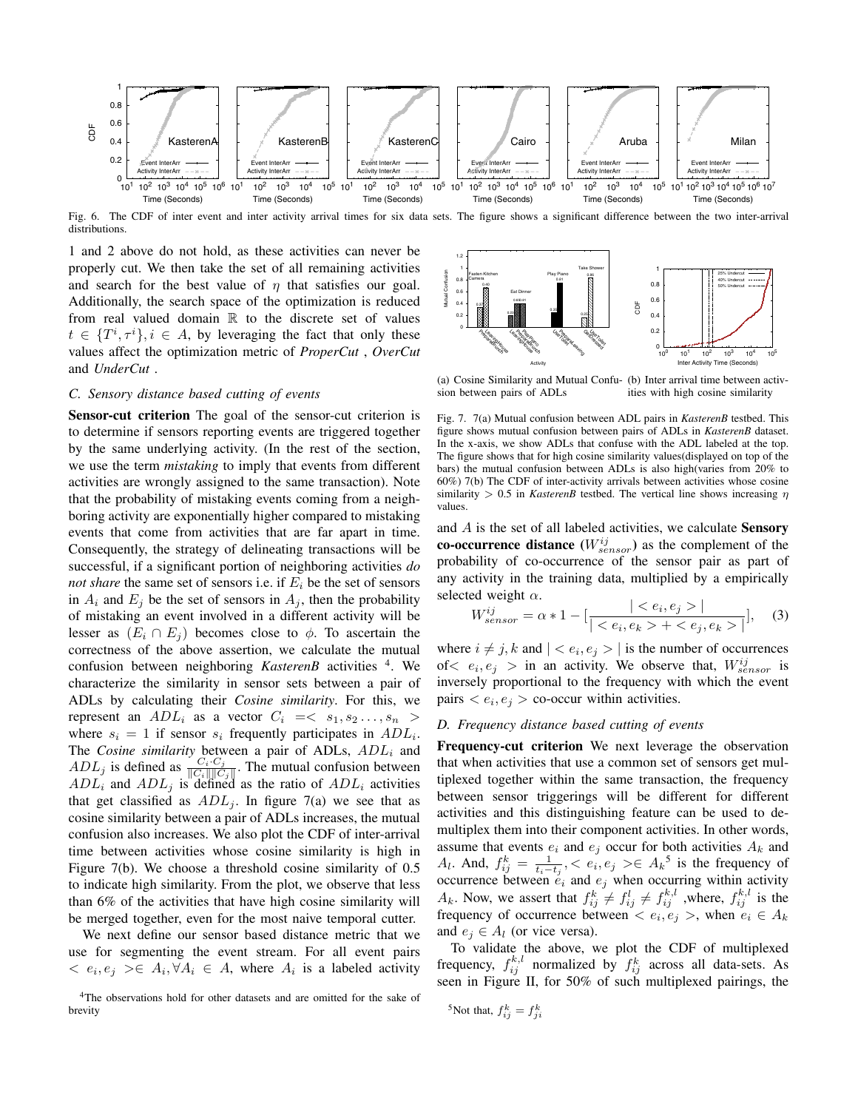

Fig. 6. The CDF of inter event and inter activity arrival times for six data sets. The figure shows a significant difference between the two inter-arrival distributions.

1 and 2 above do not hold, as these activities can never be properly cut. We then take the set of all remaining activities and search for the best value of  $\eta$  that satisfies our goal. Additionally, the search space of the optimization is reduced from real valued domain ℝ to the discrete set of values  $t \in \{T^i, \tau^i\}, i \in A$ , by leveraging the fact that only these values affect the optimization metric of *ProperCut* , *OverCut* and *UnderCut* .

## *C. Sensory distance based cutting of events*

**Sensor-cut criterion** The goal of the sensor-cut criterion is to determine if sensors reporting events are triggered together by the same underlying activity. (In the rest of the section, we use the term *mistaking* to imply that events from different activities are wrongly assigned to the same transaction). Note that the probability of mistaking events coming from a neighboring activity are exponentially higher compared to mistaking events that come from activities that are far apart in time. Consequently, the strategy of delineating transactions will be successful, if a significant portion of neighboring activities *do not share* the same set of sensors i.e. if  $E_i$  be the set of sensors in  $A_i$  and  $E_j$  be the set of sensors in  $A_j$ , then the probability of mistaking an event involved in a different activity will be lesser as  $(E_i \cap E_j)$  becomes close to  $\phi$ . To ascertain the correctness of the above assertion, we calculate the mutual confusion between neighboring *KasterenB* activities 4. We characterize the similarity in sensor sets between a pair of ADLs by calculating their *Cosine similarity*. For this, we represent an  $ADL_i$  as a vector  $C_i \leq s_1, s_2 \dots, s_n >$ where  $s_i = 1$  if sensor  $s_i$  frequently participates in  $ADL_i$ . The *Cosine similarity* between a pair of ADLs,  $ADL_i$  and  $ADL_j$  is defined as  $\frac{C_i \cdot C_j}{||C_i|| ||C_j||}$ . The mutual confusion between  $ADL_i$  and  $ADL_j$  is defined as the ratio of  $ADL_i$  activities that get classified as  $ADL_i$ . In figure 7(a) we see that as cosine similarity between a pair of ADLs increases, the mutual confusion also increases. We also plot the CDF of inter-arrival time between activities whose cosine similarity is high in Figure 7(b). We choose a threshold cosine similarity of 0.5 to indicate high similarity. From the plot, we observe that less than 6% of the activities that have high cosine similarity will be merged together, even for the most naive temporal cutter.

We next define our sensor based distance metric that we use for segmenting the event stream. For all event pairs  $\langle e_i, e_j \rangle \in A_i, \forall A_i \in A$ , where  $A_i$  is a labeled activity

<sup>4</sup>The observations hold for other datasets and are omitted for the sake of brevity



(a) Cosine Similarity and Mutual Confu-(b) Inter arrival time between activsion between pairs of ADLs ities with high cosine similarity

Fig. 7. 7(a) Mutual confusion between ADL pairs in *KasterenB* testbed. This figure shows mutual confusion between pairs of ADLs in *KasterenB* dataset. In the x-axis, we show ADLs that confuse with the ADL labeled at the top. The figure shows that for high cosine similarity values(displayed on top of the bars) the mutual confusion between ADLs is also high(varies from 20% to 60%) 7(b) The CDF of inter-activity arrivals between activities whose cosine similarity  $> 0.5$  in *KasterenB* testbed. The vertical line shows increasing  $\eta$ values.

and A is the set of all labeled activities, we calculate **Sensory co-occurrence distance**  $(W_{sensor}^{ij})$  **as the complement of the** probability of co-occurrence of the sensor pair as part of any activity in the training data, multiplied by a empirically selected weight  $\alpha$ .

$$
W_{sensor}^{ij} = \alpha * 1 - \left[ \frac{||}{|+|} \right], \quad (3)
$$

where  $i \neq j, k$  and  $|< e_i, e_j>$  is the number of occurrences of  $\langle e_i, e_j \rangle$  in an activity. We observe that,  $W_{sensor}^{ij}$  is inversely proportional to the frequency with which the event pairs  $\langle e_i, e_j \rangle$  co-occur within activities.

# *D. Frequency distance based cutting of events*

**Frequency-cut criterion** We next leverage the observation that when activities that use a common set of sensors get multiplexed together within the same transaction, the frequency between sensor triggerings will be different for different activities and this distinguishing feature can be used to demultiplex them into their component activities. In other words, assume that events  $e_i$  and  $e_j$  occur for both activities  $A_k$  and  $A_l$ . And,  $f_{ij}^k = \frac{1}{t_i - t_j}$ ,  $\lt e_i, e_j \gt \in A_k^5$  is the frequency of occurrence between  $\dot{e}_i$  and  $e_j$  when occurring within activity  $A_k$ . Now, we assert that  $f_{ij}^k \neq f_{ij}^l \neq f_{ij}^{k,l}$  , where,  $f_{ij}^{k,l}$  is the frequency of occurrence between  $\langle e_i, e_j \rangle$ , when  $e_i \in A_k$ and  $e_i \in A_l$  (or vice versa).

To validate the above, we plot the CDF of multiplexed frequency,  $f_{ij}^{k,l}$  normalized by  $f_{ij}^k$  across all data-sets. As seen in Figure II, for 50% of such multiplexed pairings, the

<sup>5</sup>Not that, 
$$
f_{ij}^k = f_{ji}^k
$$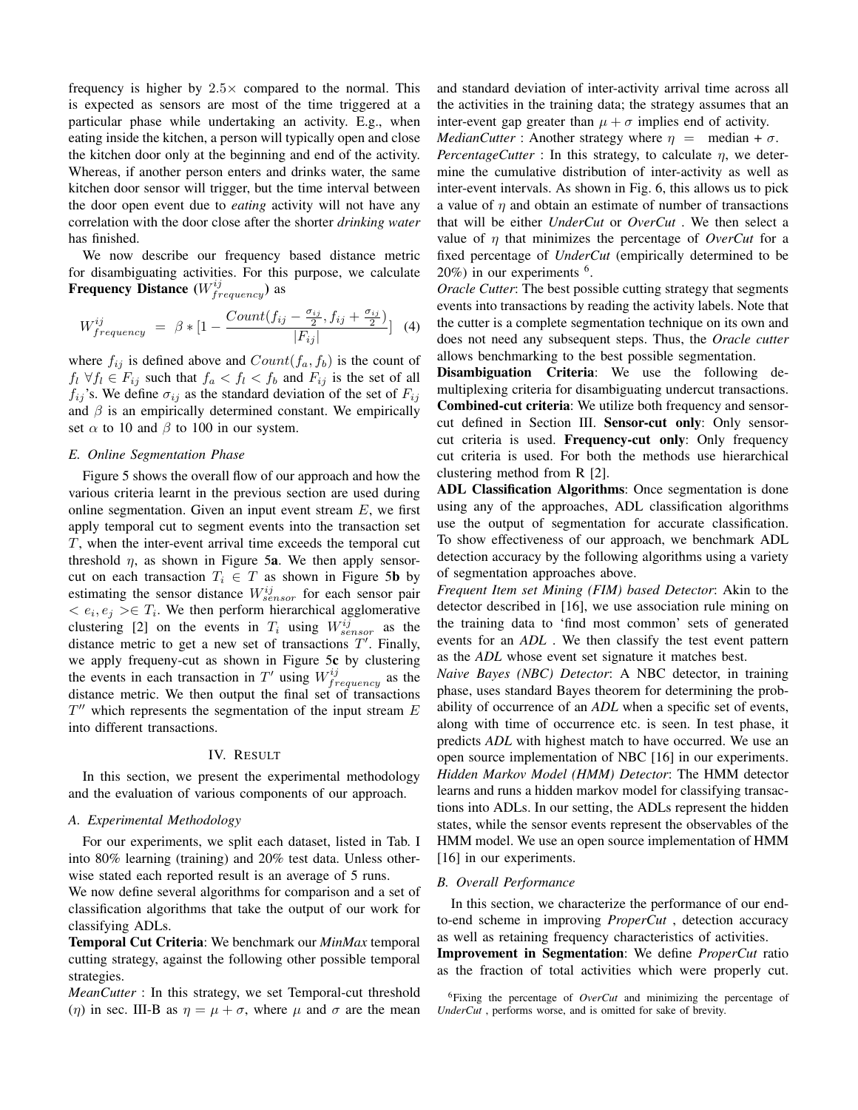frequency is higher by  $2.5 \times$  compared to the normal. This is expected as sensors are most of the time triggered at a particular phase while undertaking an activity. E.g., when eating inside the kitchen, a person will typically open and close the kitchen door only at the beginning and end of the activity. Whereas, if another person enters and drinks water, the same kitchen door sensor will trigger, but the time interval between the door open event due to *eating* activity will not have any correlation with the door close after the shorter *drinking water* has finished.

We now describe our frequency based distance metric for disambiguating activities. For this purpose, we calculate **Frequency Distance**  $(W_{frequency}^{ij})$  as

$$
W_{frequency}^{ij} = \beta * [1 - \frac{Count(f_{ij} - \frac{\sigma_{ij}}{2}, f_{ij} + \frac{\sigma_{ij}}{2})}{|F_{ij}|}] \tag{4}
$$

where  $f_{ij}$  is defined above and  $Count(f_a, f_b)$  is the count of  $f_l \,\forall f_l \in F_{ij}$  such that  $f_a < f_l < f_b$  and  $F_{ij}$  is the set of all  $f_{ij}$ 's. We define  $\sigma_{ij}$  as the standard deviation of the set of  $F_{ij}$ and  $\beta$  is an empirically determined constant. We empirically set  $\alpha$  to 10 and  $\beta$  to 100 in our system.

## *E. Online Segmentation Phase*

Figure 5 shows the overall flow of our approach and how the various criteria learnt in the previous section are used during online segmentation. Given an input event stream  $E$ , we first apply temporal cut to segment events into the transaction set  $T$ , when the inter-event arrival time exceeds the temporal cut threshold  $\eta$ , as shown in Figure 5**a**. We then apply sensorcut on each transaction  $T_i \in T$  as shown in Figure 5**b** by estimating the sensor distance  $W_{sensor}^{ij}$  for each sensor pair  $\langle e_i, e_j \rangle \in T_i$ . We then perform hierarchical agglomerative clustering [2] on the events in  $T_i$  using  $W_{sensor}^{ij}$  as the distance metric to get a new set of transactions  $T'$ . Finally, we apply frequeny-cut as shown in Figure 5**c** by clustering the events in each transaction in  $T'$  using  $W_{frequency}^{ij}$  as the distance metric. We then output the final set of transactions  $T''$  which represents the segmentation of the input stream  $E$ into different transactions.

## IV. RESULT

In this section, we present the experimental methodology and the evaluation of various components of our approach.

## *A. Experimental Methodology*

For our experiments, we split each dataset, listed in Tab. I into 80% learning (training) and 20% test data. Unless otherwise stated each reported result is an average of 5 runs.

We now define several algorithms for comparison and a set of classification algorithms that take the output of our work for classifying ADLs.

**Temporal Cut Criteria**: We benchmark our *MinMax* temporal cutting strategy, against the following other possible temporal strategies.

*MeanCutter* : In this strategy, we set Temporal-cut threshold ( $\eta$ ) in sec. III-B as  $\eta = \mu + \sigma$ , where  $\mu$  and  $\sigma$  are the mean and standard deviation of inter-activity arrival time across all the activities in the training data; the strategy assumes that an inter-event gap greater than  $\mu + \sigma$  implies end of activity.

*MedianCutter* : Another strategy where  $\eta =$  median +  $\sigma$ . *PercentageCutter* : In this strategy, to calculate  $\eta$ , we determine the cumulative distribution of inter-activity as well as inter-event intervals. As shown in Fig. 6, this allows us to pick a value of  $\eta$  and obtain an estimate of number of transactions that will be either *UnderCut* or *OverCut* . We then select a value of  $\eta$  that minimizes the percentage of *OverCut* for a fixed percentage of *UnderCut* (empirically determined to be  $20\%$ ) in our experiments  $^{6}$ .

*Oracle Cutter*: The best possible cutting strategy that segments events into transactions by reading the activity labels. Note that the cutter is a complete segmentation technique on its own and does not need any subsequent steps. Thus, the *Oracle cutter* allows benchmarking to the best possible segmentation.

**Disambiguation Criteria**: We use the following demultiplexing criteria for disambiguating undercut transactions. **Combined-cut criteria**: We utilize both frequency and sensorcut defined in Section III. **Sensor-cut only**: Only sensorcut criteria is used. **Frequency-cut only**: Only frequency cut criteria is used. For both the methods use hierarchical clustering method from R [2].

**ADL Classification Algorithms**: Once segmentation is done using any of the approaches, ADL classification algorithms use the output of segmentation for accurate classification. To show effectiveness of our approach, we benchmark ADL detection accuracy by the following algorithms using a variety of segmentation approaches above.

*Frequent Item set Mining (FIM) based Detector*: Akin to the detector described in [16], we use association rule mining on the training data to 'find most common' sets of generated events for an *ADL* . We then classify the test event pattern as the *ADL* whose event set signature it matches best.

*Naive Bayes (NBC) Detector*: A NBC detector, in training phase, uses standard Bayes theorem for determining the probability of occurrence of an *ADL* when a specific set of events, along with time of occurrence etc. is seen. In test phase, it predicts *ADL* with highest match to have occurred. We use an open source implementation of NBC [16] in our experiments. *Hidden Markov Model (HMM) Detector*: The HMM detector learns and runs a hidden markov model for classifying transactions into ADLs. In our setting, the ADLs represent the hidden states, while the sensor events represent the observables of the HMM model. We use an open source implementation of HMM [16] in our experiments.

## *B. Overall Performance*

In this section, we characterize the performance of our endto-end scheme in improving *ProperCut* , detection accuracy as well as retaining frequency characteristics of activities. **Improvement in Segmentation**: We define *ProperCut* ratio

as the fraction of total activities which were properly cut.

<sup>6</sup>Fixing the percentage of *OverCut* and minimizing the percentage of *UnderCut* , performs worse, and is omitted for sake of brevity.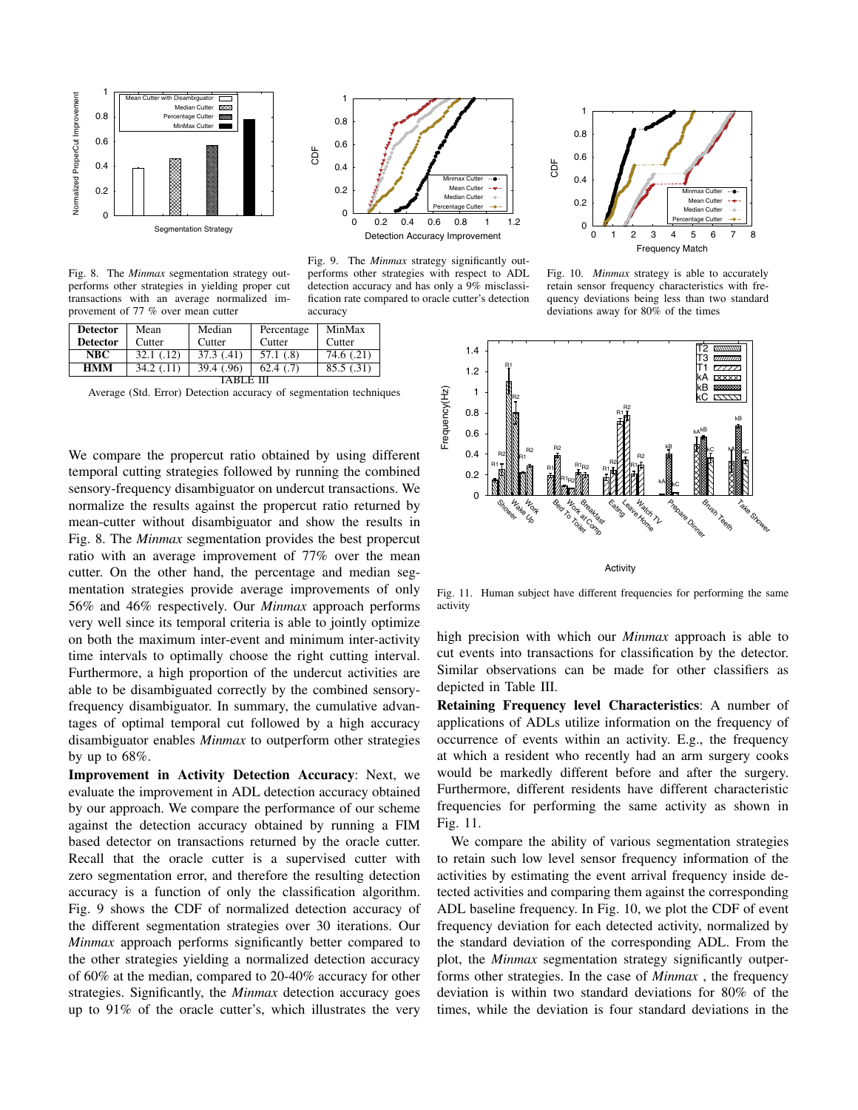

Fig. 8. The *Minmax* segmentation strategy outperforms other strategies in yielding proper cut transactions with an average normalized improvement of 77 % over mean cutter

| <b>Detector</b><br>Mean |            | Median     | Percentage | MinMax     |  |  |
|-------------------------|------------|------------|------------|------------|--|--|
| <b>Detector</b>         | Cutter     | Cutter     | Cutter     | Cutter     |  |  |
| NBC.                    | 32.1 (.12) | 37.3(41)   | 57.1(0.8)  | 74.6 (.21) |  |  |
| <b>HMM</b>              | 34.2 (.11) | 39.4 (.96) | 62.4(0.7)  | 85.5 (.31) |  |  |
|                         |            |            |            |            |  |  |



Fig. 9. The *Minmax* strategy significantly outperforms other strategies with respect to ADL detection accuracy and has only a 9% misclassification rate compared to oracle cutter's detection accuracy



Fig. 10. *Minmax* strategy is able to accurately retain sensor frequency characteristics with frequency deviations being less than two standard deviations away for 80% of the times



Average (Std. Error) Detection accuracy of segmentation techniques

We compare the propercut ratio obtained by using different temporal cutting strategies followed by running the combined sensory-frequency disambiguator on undercut transactions. We normalize the results against the propercut ratio returned by mean-cutter without disambiguator and show the results in Fig. 8. The *Minmax* segmentation provides the best propercut ratio with an average improvement of 77% over the mean cutter. On the other hand, the percentage and median segmentation strategies provide average improvements of only 56% and 46% respectively. Our *Minmax* approach performs very well since its temporal criteria is able to jointly optimize on both the maximum inter-event and minimum inter-activity time intervals to optimally choose the right cutting interval. Furthermore, a high proportion of the undercut activities are able to be disambiguated correctly by the combined sensoryfrequency disambiguator. In summary, the cumulative advantages of optimal temporal cut followed by a high accuracy disambiguator enables *Minmax* to outperform other strategies by up to 68%.

**Improvement in Activity Detection Accuracy**: Next, we evaluate the improvement in ADL detection accuracy obtained by our approach. We compare the performance of our scheme against the detection accuracy obtained by running a FIM based detector on transactions returned by the oracle cutter. Recall that the oracle cutter is a supervised cutter with zero segmentation error, and therefore the resulting detection accuracy is a function of only the classification algorithm. Fig. 9 shows the CDF of normalized detection accuracy of the different segmentation strategies over 30 iterations. Our *Minmax* approach performs significantly better compared to the other strategies yielding a normalized detection accuracy of 60% at the median, compared to 20-40% accuracy for other strategies. Significantly, the *Minmax* detection accuracy goes up to 91% of the oracle cutter's, which illustrates the very

Fig. 11. Human subject have different frequencies for performing the same activity

high precision with which our *Minmax* approach is able to cut events into transactions for classification by the detector. Similar observations can be made for other classifiers as depicted in Table III.

**Retaining Frequency level Characteristics**: A number of applications of ADLs utilize information on the frequency of occurrence of events within an activity. E.g., the frequency at which a resident who recently had an arm surgery cooks would be markedly different before and after the surgery. Furthermore, different residents have different characteristic frequencies for performing the same activity as shown in Fig. 11.

We compare the ability of various segmentation strategies to retain such low level sensor frequency information of the activities by estimating the event arrival frequency inside detected activities and comparing them against the corresponding ADL baseline frequency. In Fig. 10, we plot the CDF of event frequency deviation for each detected activity, normalized by the standard deviation of the corresponding ADL. From the plot, the *Minmax* segmentation strategy significantly outperforms other strategies. In the case of *Minmax* , the frequency deviation is within two standard deviations for 80% of the times, while the deviation is four standard deviations in the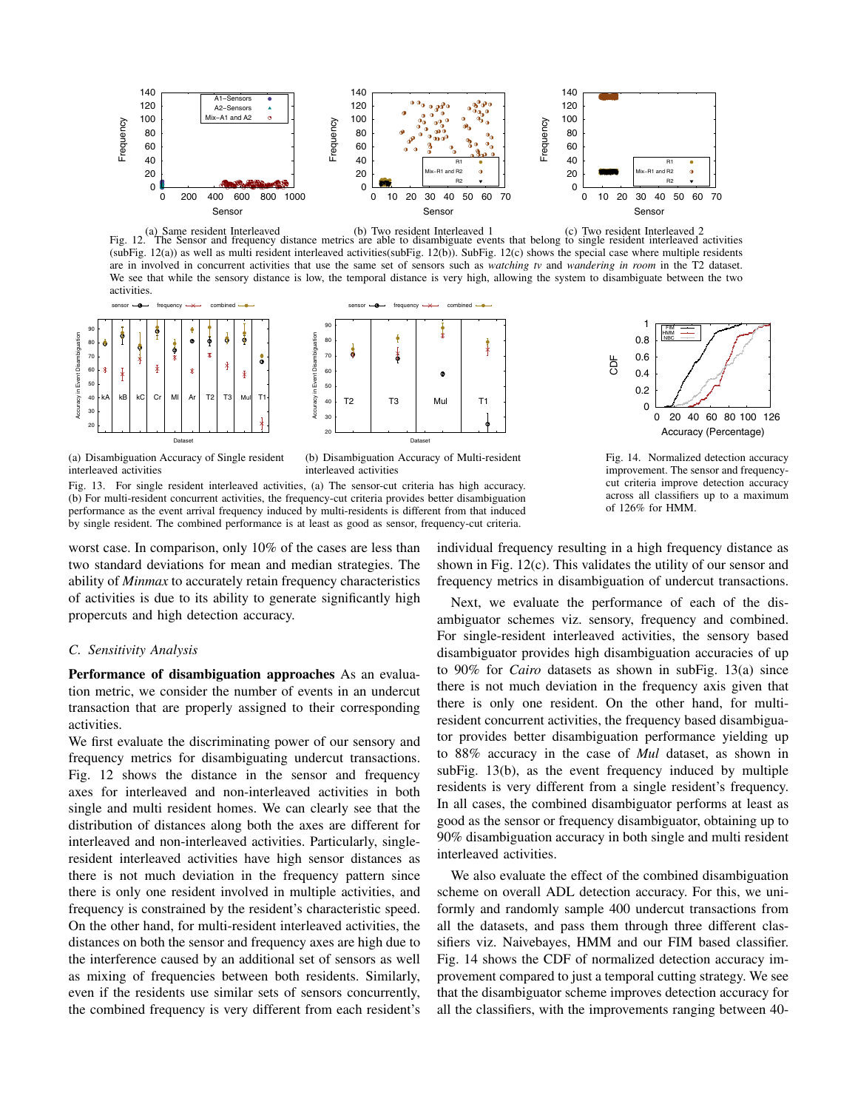

(a) Same resident Interleaved (b) Two resident Interleaved 1 (c) Two resident Interleaved 2<br>Fig. 12. The Sensor and frequency distance metrics are able to disambiguate events that belong to single resident interleaved acti (subFig. 12(a)) as well as multi resident interleaved activities(subFig. 12(b)). SubFig. 12(c) shows the special case where multiple residents are in involved in concurrent activities that use the same set of sensors such as *watching tv* and *wandering in room* in the T2 dataset. We see that while the sensory distance is low, the temporal distance is very high, allowing the system to disambiguate between the two activities.



freque 90 Accuracy in Event Disambiguation Accuracy in Event Disambiguation 80 70 60 ¢ 50 40 T2 T3 Mul T1 30 20 Data

(a) Disambiguation Accuracy of Single resident interleaved activities

(b) Disambiguation Accuracy of Multi-resident interleaved activities

Fig. 13. For single resident interleaved activities, (a) The sensor-cut criteria has high accuracy. (b) For multi-resident concurrent activities, the frequency-cut criteria provides better disambiguation performance as the event arrival frequency induced by multi-residents is different from that induced by single resident. The combined performance is at least as good as sensor, frequency-cut criteria.

worst case. In comparison, only 10% of the cases are less than two standard deviations for mean and median strategies. The ability of *Minmax* to accurately retain frequency characteristics of activities is due to its ability to generate significantly high propercuts and high detection accuracy.

## *C. Sensitivity Analysis*

**Performance of disambiguation approaches** As an evaluation metric, we consider the number of events in an undercut transaction that are properly assigned to their corresponding activities.

We first evaluate the discriminating power of our sensory and frequency metrics for disambiguating undercut transactions. Fig. 12 shows the distance in the sensor and frequency axes for interleaved and non-interleaved activities in both single and multi resident homes. We can clearly see that the distribution of distances along both the axes are different for interleaved and non-interleaved activities. Particularly, singleresident interleaved activities have high sensor distances as there is not much deviation in the frequency pattern since there is only one resident involved in multiple activities, and frequency is constrained by the resident's characteristic speed. On the other hand, for multi-resident interleaved activities, the distances on both the sensor and frequency axes are high due to the interference caused by an additional set of sensors as well as mixing of frequencies between both residents. Similarly, even if the residents use similar sets of sensors concurrently, the combined frequency is very different from each resident's





individual frequency resulting in a high frequency distance as shown in Fig. 12(c). This validates the utility of our sensor and frequency metrics in disambiguation of undercut transactions.

Next, we evaluate the performance of each of the disambiguator schemes viz. sensory, frequency and combined. For single-resident interleaved activities, the sensory based disambiguator provides high disambiguation accuracies of up to 90% for *Cairo* datasets as shown in subFig. 13(a) since there is not much deviation in the frequency axis given that there is only one resident. On the other hand, for multiresident concurrent activities, the frequency based disambiguator provides better disambiguation performance yielding up to 88% accuracy in the case of *Mul* dataset, as shown in subFig. 13(b), as the event frequency induced by multiple residents is very different from a single resident's frequency. In all cases, the combined disambiguator performs at least as good as the sensor or frequency disambiguator, obtaining up to 90% disambiguation accuracy in both single and multi resident interleaved activities.

We also evaluate the effect of the combined disambiguation scheme on overall ADL detection accuracy. For this, we uniformly and randomly sample 400 undercut transactions from all the datasets, and pass them through three different classifiers viz. Naivebayes, HMM and our FIM based classifier. Fig. 14 shows the CDF of normalized detection accuracy improvement compared to just a temporal cutting strategy. We see that the disambiguator scheme improves detection accuracy for all the classifiers, with the improvements ranging between 40-